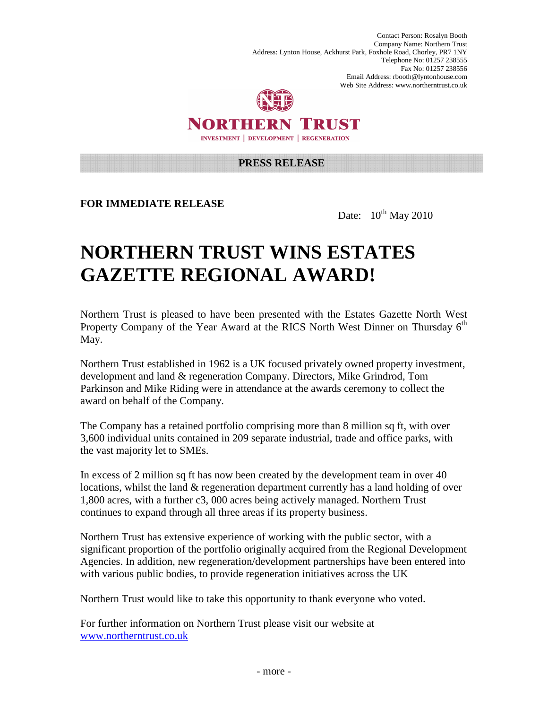Contact Person: Rosalyn Booth Company Name: Northern Trust Address: Lynton House, Ackhurst Park, Foxhole Road, Chorley, PR7 1NY Telephone No: 01257 238555 Fax No: 01257 238556 Email Address: rbooth@lyntonhouse.com Web Site Address: www.northerntrust.co.uk



NORTHERN TRUST **INVESTMENT | DEVELOPMENT | REGENERATION** 

## **PRESS RELEASE**

**FOR IMMEDIATE RELEASE** 

Date:  $10^{th}$  May 2010

## **NORTHERN TRUST WINS ESTATES GAZETTE REGIONAL AWARD!**

Northern Trust is pleased to have been presented with the Estates Gazette North West Property Company of the Year Award at the RICS North West Dinner on Thursday  $6<sup>th</sup>$ May.

Northern Trust established in 1962 is a UK focused privately owned property investment, development and land & regeneration Company. Directors, Mike Grindrod, Tom Parkinson and Mike Riding were in attendance at the awards ceremony to collect the award on behalf of the Company.

The Company has a retained portfolio comprising more than 8 million sq ft, with over 3,600 individual units contained in 209 separate industrial, trade and office parks, with the vast majority let to SMEs.

In excess of 2 million sq ft has now been created by the development team in over 40 locations, whilst the land  $\&$  regeneration department currently has a land holding of over 1,800 acres, with a further c3, 000 acres being actively managed. Northern Trust continues to expand through all three areas if its property business.

Northern Trust has extensive experience of working with the public sector, with a significant proportion of the portfolio originally acquired from the Regional Development Agencies. In addition, new regeneration/development partnerships have been entered into with various public bodies, to provide regeneration initiatives across the UK

Northern Trust would like to take this opportunity to thank everyone who voted.

For further information on Northern Trust please visit our website at www.northerntrust.co.uk